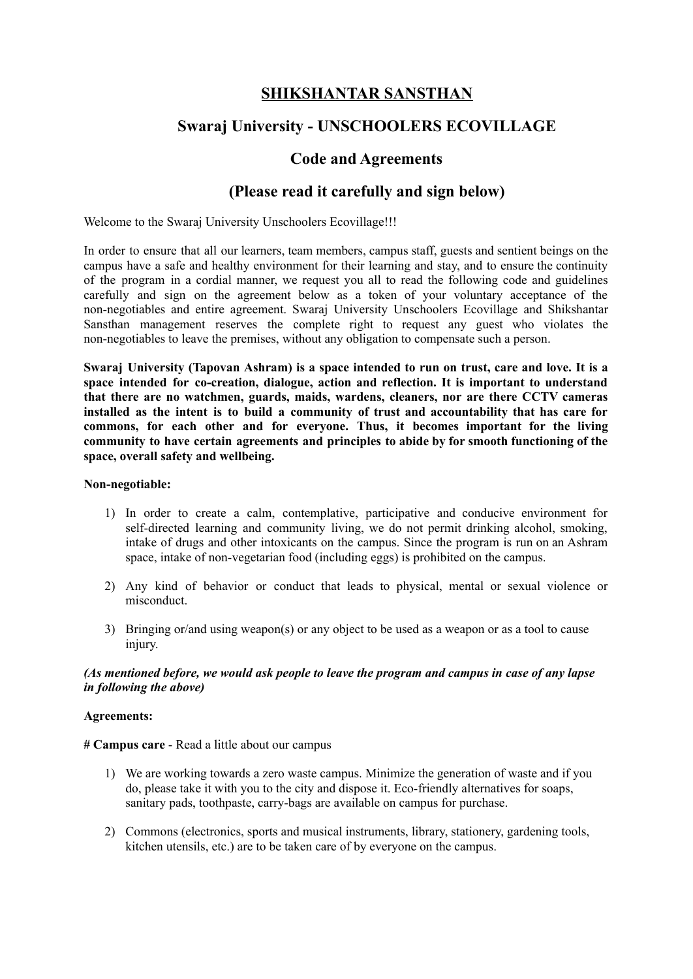# **SHIKSHANTAR SANSTHAN**

## **Swaraj University - UNSCHOOLERS ECOVILLAGE**

## **Code and Agreements**

## **(Please read it carefully and sign below)**

Welcome to the Swaraj University Unschoolers Ecovillage!!!

In order to ensure that all our learners, team members, campus staff, guests and sentient beings on the campus have a safe and healthy environment for their learning and stay, and to ensure the continuity of the program in a cordial manner, we request you all to read the following code and guidelines carefully and sign on the agreement below as a token of your voluntary acceptance of the non-negotiables and entire agreement. Swaraj University Unschoolers Ecovillage and Shikshantar Sansthan management reserves the complete right to request any guest who violates the non-negotiables to leave the premises, without any obligation to compensate such a person.

**Swaraj University (Tapovan Ashram) is a space intended to run on trust, care and love. It is a space intended for co-creation, dialogue, action and reflection. It is important to understand that there are no watchmen, guards, maids, wardens, cleaners, nor are there CCTV cameras installed as the intent is to build a community of trust and accountability that has care for commons, for each other and for everyone. Thus, it becomes important for the living community to have certain agreements and principles to abide by for smooth functioning of the space, overall safety and wellbeing.**

#### **Non-negotiable:**

- 1) In order to create a calm, contemplative, participative and conducive environment for self-directed learning and community living, we do not permit drinking alcohol, smoking, intake of drugs and other intoxicants on the campus. Since the program is run on an Ashram space, intake of non-vegetarian food (including eggs) is prohibited on the campus.
- 2) Any kind of behavior or conduct that leads to physical, mental or sexual violence or misconduct.
- 3) Bringing or/and using weapon(s) or any object to be used as a weapon or as a tool to cause injury.

#### *(As mentioned before, we would ask people to leave the program and campus in case of any lapse in following the above)*

#### **Agreements:**

**# Campus care** - Read a little about our campus

- 1) We are working towards a zero waste campus. Minimize the generation of waste and if you do, please take it with you to the city and dispose it. Eco-friendly alternatives for soaps, sanitary pads, toothpaste, carry-bags are available on campus for purchase.
- 2) Commons (electronics, sports and musical instruments, library, stationery, gardening tools, kitchen utensils, etc.) are to be taken care of by everyone on the campus.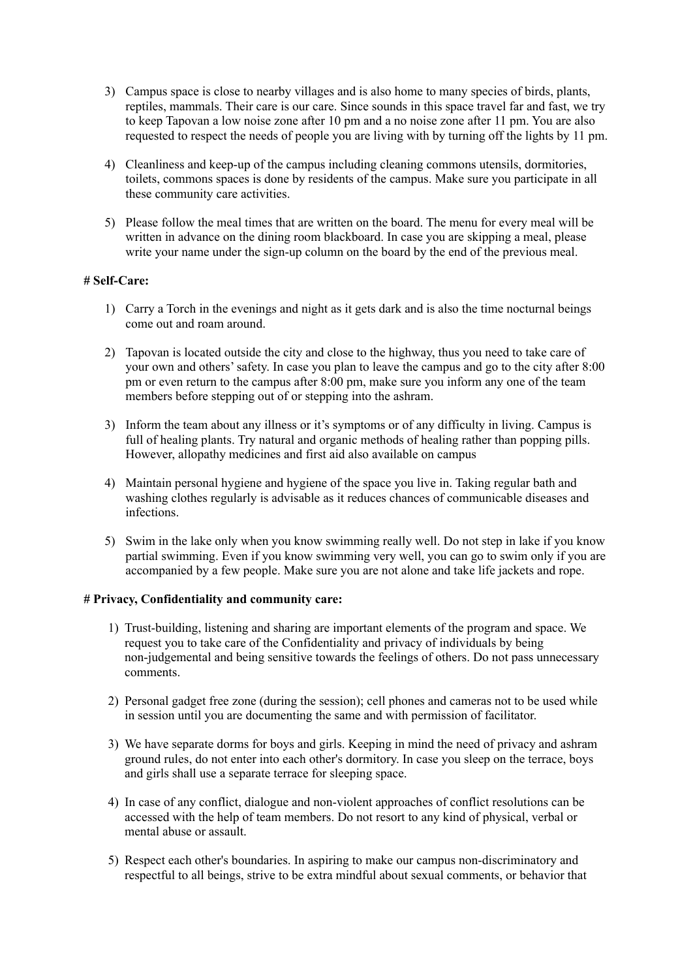- 3) Campus space is close to nearby villages and is also home to many species of birds, plants, reptiles, mammals. Their care is our care. Since sounds in this space travel far and fast, we try to keep Tapovan a low noise zone after 10 pm and a no noise zone after 11 pm. You are also requested to respect the needs of people you are living with by turning off the lights by 11 pm.
- 4) Cleanliness and keep-up of the campus including cleaning commons utensils, dormitories, toilets, commons spaces is done by residents of the campus. Make sure you participate in all these community care activities.
- 5) Please follow the meal times that are written on the board. The menu for every meal will be written in advance on the dining room blackboard. In case you are skipping a meal, please write your name under the sign-up column on the board by the end of the previous meal.

### **# Self-Care:**

- 1) Carry a Torch in the evenings and night as it gets dark and is also the time nocturnal beings come out and roam around.
- 2) Tapovan is located outside the city and close to the highway, thus you need to take care of your own and others'safety. In case you plan to leave the campus and go to the city after 8:00 pm or even return to the campus after 8:00 pm, make sure you inform any one of the team members before stepping out of or stepping into the ashram.
- 3) Inform the team about any illness or it's symptoms or of any difficulty in living. Campus is full of healing plants. Try natural and organic methods of healing rather than popping pills. However, allopathy medicines and first aid also available on campus
- 4) Maintain personal hygiene and hygiene of the space you live in. Taking regular bath and washing clothes regularly is advisable as it reduces chances of communicable diseases and infections.
- 5) Swim in the lake only when you know swimming really well. Do not step in lake if you know partial swimming. Even if you know swimming very well, you can go to swim only if you are accompanied by a few people. Make sure you are not alone and take life jackets and rope.

#### **# Privacy, Confidentiality and community care:**

- 1) Trust-building, listening and sharing are important elements of the program and space. We request you to take care of the Confidentiality and privacy of individuals by being non-judgemental and being sensitive towards the feelings of others. Do not pass unnecessary comments.
- 2) Personal gadget free zone (during the session); cell phones and cameras not to be used while in session until you are documenting the same and with permission of facilitator.
- 3) We have separate dorms for boys and girls. Keeping in mind the need of privacy and ashram ground rules, do not enter into each other's dormitory. In case you sleep on the terrace, boys and girls shall use a separate terrace for sleeping space.
- 4) In case of any conflict, dialogue and non-violent approaches of conflict resolutions can be accessed with the help of team members. Do not resort to any kind of physical, verbal or mental abuse or assault.
- 5) Respect each other's boundaries. In aspiring to make our campus non-discriminatory and respectful to all beings, strive to be extra mindful about sexual comments, or behavior that